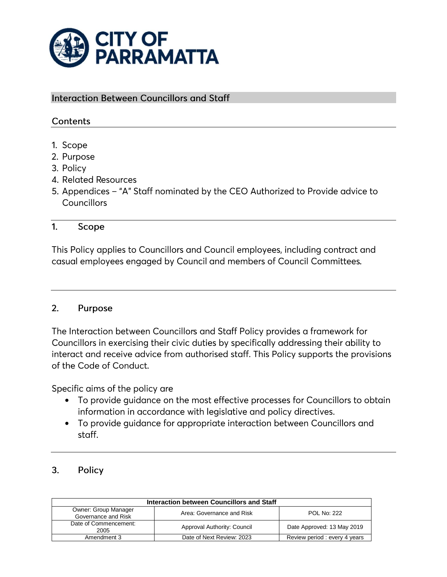

## **Interaction Between Councillors and Staff**

# Contents

- 1. Scope
- 2. Purpose
- 3. Policy
- 4. Related Resources
- 5. Appendices "A" Staff nominated by the CEO Authorized to Provide advice to Councillors

#### $1.$ Scope

This Policy applies to Councillors and Council employees, including contract and casual employees engaged by Council and members of Council Committees.

#### $2.$ Purpose

The Interaction between Councillors and Staff Policy provides a framework for Councillors in exercising their civic duties by specifically addressing their ability to interact and receive advice from authorised staff. This Policy supports the provisions of the Code of Conduct.

Specific aims of the policy are

- To provide guidance on the most effective processes for Councillors to obtain information in accordance with legislative and policy directives.
- To provide guidance for appropriate interaction between Councillors and  $\bullet$ staff.

### $3.$ Policy

| Interaction between Councillors and Staff   |                             |                               |  |
|---------------------------------------------|-----------------------------|-------------------------------|--|
| Owner: Group Manager<br>Governance and Risk | Area: Governance and Risk   | <b>POL No: 222</b>            |  |
| Date of Commencement:<br>2005               | Approval Authority: Council | Date Approved: 13 May 2019    |  |
| Amendment 3                                 | Date of Next Review: 2023   | Review period : every 4 years |  |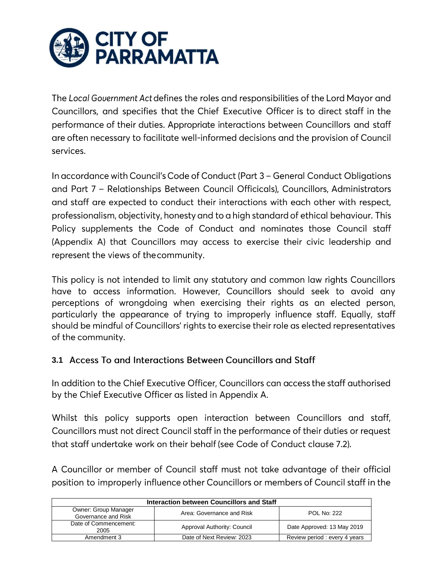

The Local Government Act defines the roles and responsibilities of the Lord Mayor and Councillors, and specifies that the Chief Executive Officer is to direct staff in the performance of their duties. Appropriate interactions between Councillors and staff are often necessary to facilitate well-informed decisions and the provision of Council services.

In accordance with Council's Code of Conduct (Part 3 - General Conduct Obligations and Part 7 - Relationships Between Council Officicals), Councillors, Administrators and staff are expected to conduct their interactions with each other with respect, professionalism, objectivity, honesty and to a high standard of ethical behaviour. This Policy supplements the Code of Conduct and nominates those Council staff (Appendix A) that Councillors may access to exercise their civic leadership and represent the views of the community.

This policy is not intended to limit any statutory and common law rights Councillors have to access information. However, Councillors should seek to avoid any perceptions of wrongdoing when exercising their rights as an elected person, particularly the appearance of trying to improperly influence staff. Equally, staff should be mindful of Councillors' rights to exercise their role as elected representatives of the community.

# 3.1 Access To and Interactions Between Councillors and Staff

In addition to the Chief Executive Officer, Councillors can access the staff authorised by the Chief Executive Officer as listed in Appendix A.

Whilst this policy supports open interaction between Councillors and staff, Councillors must not direct Council staff in the performance of their duties or request that staff undertake work on their behalf (see Code of Conduct clause 7.2).

A Councillor or member of Council staff must not take advantage of their official position to improperly influence other Councillors or members of Council staff in the

| Interaction between Councillors and Staff   |                             |                               |  |
|---------------------------------------------|-----------------------------|-------------------------------|--|
| Owner: Group Manager<br>Governance and Risk | Area: Governance and Risk   | <b>POL No: 222</b>            |  |
| Date of Commencement:<br>2005               | Approval Authority: Council | Date Approved: 13 May 2019    |  |
| Amendment 3                                 | Date of Next Review: 2023   | Review period : every 4 years |  |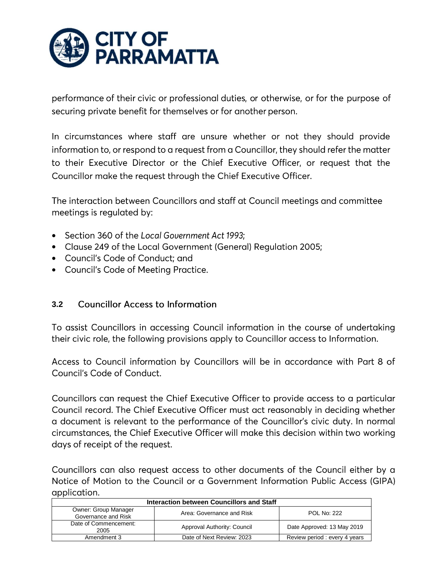

performance of their civic or professional duties, or otherwise, or for the purpose of securing private benefit for themselves or for another person.

In circumstances where staff are unsure whether or not they should provide information to, or respond to a request from a Councillor, they should refer the matter to their Executive Director or the Chief Executive Officer, or request that the Councillor make the request through the Chief Executive Officer.

The interaction between Councillors and staff at Council meetings and committee meetings is regulated by:

- Section 360 of the Local Government Act 1993;
- Clause 249 of the Local Government (General) Regulation 2005;
- Council's Code of Conduct: and
- Council's Code of Meeting Practice.

#### **3.2Councillor Access to Information**

To assist Councillors in accessing Council information in the course of undertaking their civic role, the following provisions apply to Councillor access to Information.

Access to Council information by Councillors will be in accordance with Part 8 of Council's Code of Conduct.

Councillors can request the Chief Executive Officer to provide access to a particular Council record. The Chief Executive Officer must act reasonably in deciding whether a document is relevant to the performance of the Councillor's civic duty. In normal circumstances, the Chief Executive Officer will make this decision within two working days of receipt of the request.

Councillors can also request access to other documents of the Council either by a Notice of Motion to the Council or a Government Information Public Access (GIPA) application.

| Interaction between Councillors and Staff   |                             |                              |
|---------------------------------------------|-----------------------------|------------------------------|
| Owner: Group Manager<br>Governance and Risk | Area: Governance and Risk   | <b>POL No: 222</b>           |
| Date of Commencement:<br>2005               | Approval Authority: Council | Date Approved: 13 May 2019   |
| Amendment 3                                 | Date of Next Review: 2023   | Review period: every 4 years |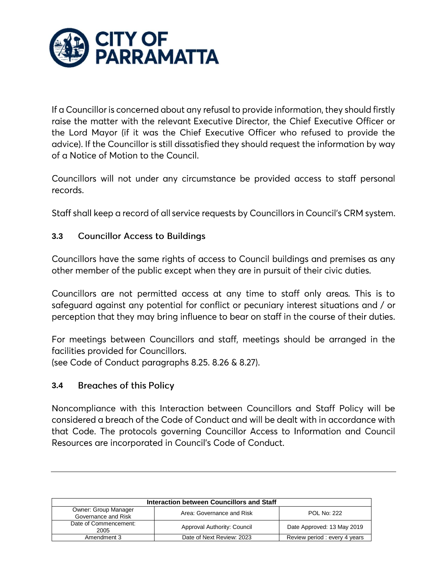

If a Councillor is concerned about any refusal to provide information, they should firstly raise the matter with the relevant Executive Director, the Chief Executive Officer or the Lord Mayor (if it was the Chief Executive Officer who refused to provide the advice). If the Councillor is still dissatisfied they should request the information by way of a Notice of Motion to the Council.

Councillors will not under any circumstance be provided access to staff personal records.

Staff shall keep a record of all service requests by Councillors in Council's CRM system.

### $3.3$ **Councillor Access to Buildings**

Councillors have the same rights of access to Council buildings and premises as any other member of the public except when they are in pursuit of their civic duties.

Councillors are not permitted access at any time to staff only areas. This is to safeguard against any potential for conflict or pecuniary interest situations and / or perception that they may bring influence to bear on staff in the course of their duties.

For meetings between Councillors and staff, meetings should be arranged in the facilities provided for Councillors. (see Code of Conduct paragraphs 8.25. 8.26 & 8.27).

#### $3.4$ **Breaches of this Policy**

Noncompliance with this Interaction between Councillors and Staff Policy will be considered a breach of the Code of Conduct and will be dealt with in accordance with that Code. The protocols governing Councillor Access to Information and Council Resources are incorporated in Council's Code of Conduct.

| Interaction between Councillors and Staff   |                             |                               |
|---------------------------------------------|-----------------------------|-------------------------------|
| Owner: Group Manager<br>Governance and Risk | Area: Governance and Risk   | <b>POL No: 222</b>            |
| Date of Commencement:<br>2005               | Approval Authority: Council | Date Approved: 13 May 2019    |
| Amendment 3                                 | Date of Next Review: 2023   | Review period : every 4 years |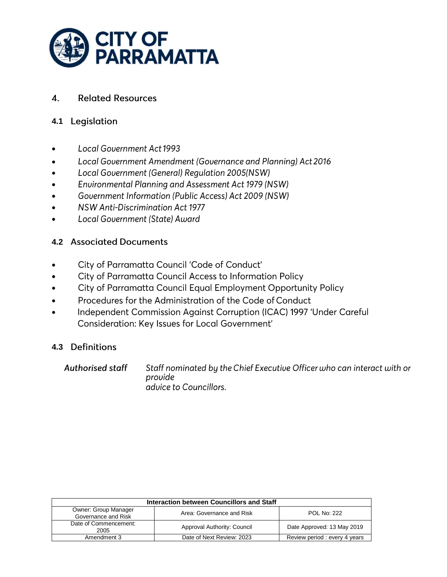

#### **Related Resources**  $\boldsymbol{4}$ .

# **4.1**

- **Local Government Act 1993**  $\bullet$
- Local Government Amendment (Governance and Planning) Act 2016  $\bullet$
- Local Government (General) Regulation 2005(NSW)  $\bullet$
- Environmental Planning and Assessment Act 1979 (NSW)  $\bullet$
- Government Information (Public Access) Act 2009 (NSW)  $\bullet$
- **NSW Anti-Discrimination Act 1977**  $\bullet$
- Local Government (State) Award  $\bullet$

# **4.2 Associated Documents**

- City of Parramatta Council 'Code of Conduct'  $\bullet$
- City of Parramatta Council Access to Information Policy  $\bullet$
- City of Parramatta Council Equal Employment Opportunity Policy  $\bullet$
- Procedures for the Administration of the Code of Conduct  $\bullet$
- $\bullet$ Independent Commission Against Corruption (ICAC) 1997 'Under Careful Consideration: Key Issues for Local Government'

# **4.3**

**Authorised staff** Staff nominated by the Chief Executive Officer who can interact with or provide advice to Councillors.

| Interaction between Councillors and Staff   |                             |                              |  |
|---------------------------------------------|-----------------------------|------------------------------|--|
| Owner: Group Manager<br>Governance and Risk | Area: Governance and Risk   | <b>POL No: 222</b>           |  |
| Date of Commencement:<br>2005               | Approval Authority: Council | Date Approved: 13 May 2019   |  |
| Amendment 3                                 | Date of Next Review: 2023   | Review period: every 4 years |  |